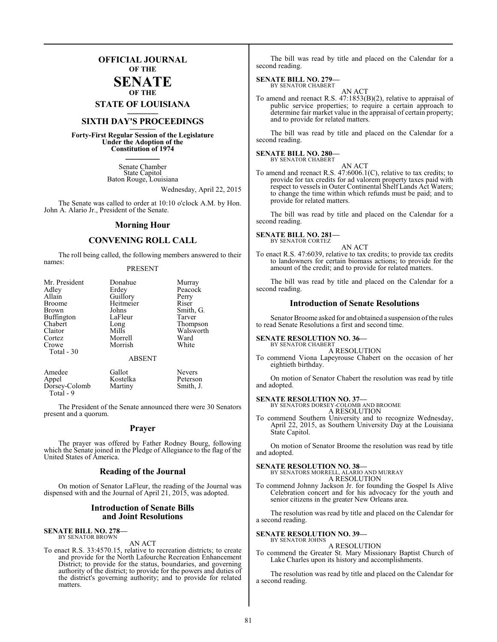### **OFFICIAL JOURNAL OF THE**

### **SENATE OF THE**

**STATE OF LOUISIANA \_\_\_\_\_\_\_**

### **SIXTH DAY'S PROCEEDINGS \_\_\_\_\_\_\_**

**Forty-First Regular Session of the Legislature Under the Adoption of the Constitution of 1974 \_\_\_\_\_\_\_**

> Senate Chamber State Capitol Baton Rouge, Louisiana

> > Wednesday, April 22, 2015

The Senate was called to order at 10:10 o'clock A.M. by Hon. John A. Alario Jr., President of the Senate.

### **Morning Hour**

### **CONVENING ROLL CALL**

The roll being called, the following members answered to their names:

### PRESENT

| Donahue       | Murray                        |
|---------------|-------------------------------|
| Erdey         | Peacock                       |
|               | Perry                         |
|               | Riser                         |
| Johns         | Smith, G.                     |
| LaFleur       | Tarver                        |
|               | Thompson                      |
| Mills         | Walsworth                     |
| Morrell       | Ward                          |
| Morrish       | White                         |
|               |                               |
| <b>ABSENT</b> |                               |
|               | Guillory<br>Heitmeier<br>Long |

| Amedee        | Gallot   | <b>Nevers</b> |
|---------------|----------|---------------|
| Appel         | Kostelka | Peterson      |
| Dorsey-Colomb | Martiny  | Smith, J.     |
| Total - 9     |          |               |

The President of the Senate announced there were 30 Senators present and a quorum.

### **Prayer**

The prayer was offered by Father Rodney Bourg, following which the Senate joined in the Pledge of Allegiance to the flag of the United States of America.

### **Reading of the Journal**

On motion of Senator LaFleur, the reading of the Journal was dispensed with and the Journal of April 21, 2015, was adopted.

### **Introduction of Senate Bills and Joint Resolutions**

#### **SENATE BILL NO. 278—** BY SENATOR BROWN

AN ACT

To enact R.S. 33:4570.15, relative to recreation districts; to create and provide for the North Lafourche Recreation Enhancement District; to provide for the status, boundaries, and governing authority of the district; to provide for the powers and duties of the district's governing authority; and to provide for related matters.

The bill was read by title and placed on the Calendar for a second reading.

### **SENATE BILL NO. 279—** BY SENATOR CHABERT

AN ACT

To amend and reenact R.S. 47:1853(B)(2), relative to appraisal of public service properties; to require a certain approach to determine fair market value in the appraisal of certain property; and to provide for related matters.

The bill was read by title and placed on the Calendar for a second reading.

#### **SENATE BILL NO. 280—** BY SENATOR CHABERT

- AN ACT
- To amend and reenact R.S. 47:6006.1(C), relative to tax credits; to provide for tax credits for ad valorem property taxes paid with respect to vessels in Outer Continental Shelf Lands Act Waters; to change the time within which refunds must be paid; and to provide for related matters.

The bill was read by title and placed on the Calendar for a second reading.

### **SENATE BILL NO. 281—** BY SENATOR CORTEZ

AN ACT

To enact R.S. 47:6039, relative to tax credits; to provide tax credits to landowners for certain biomass actions; to provide for the amount of the credit; and to provide for related matters.

The bill was read by title and placed on the Calendar for a second reading.

### **Introduction of Senate Resolutions**

Senator Broome asked for and obtained a suspension of the rules to read Senate Resolutions a first and second time.

### **SENATE RESOLUTION NO. 36—** BY SENATOR CHABERT

A RESOLUTION

To commend Viona Lapeyrouse Chabert on the occasion of her eightieth birthday.

On motion of Senator Chabert the resolution was read by title and adopted.

### **SENATE RESOLUTION NO. 37—**

BY SENATORS DORSEY-COLOMB AND BROOME A RESOLUTION

To commend Southern University and to recognize Wednesday, April 22, 2015, as Southern University Day at the Louisiana State Capitol.

On motion of Senator Broome the resolution was read by title and adopted.

### **SENATE RESOLUTION NO. 38—**

BY SENATORS MORRELL, ALARIO AND MURRAY A RESOLUTION

To commend Johnny Jackson Jr. for founding the Gospel Is Alive Celebration concert and for his advocacy for the youth and senior citizens in the greater New Orleans area.

The resolution was read by title and placed on the Calendar for a second reading.

## **SENATE RESOLUTION NO. 39—**<br>BY SENATOR JOHNS

### A RESOLUTION

To commend the Greater St. Mary Missionary Baptist Church of Lake Charles upon its history and accomplishments.

The resolution was read by title and placed on the Calendar for a second reading.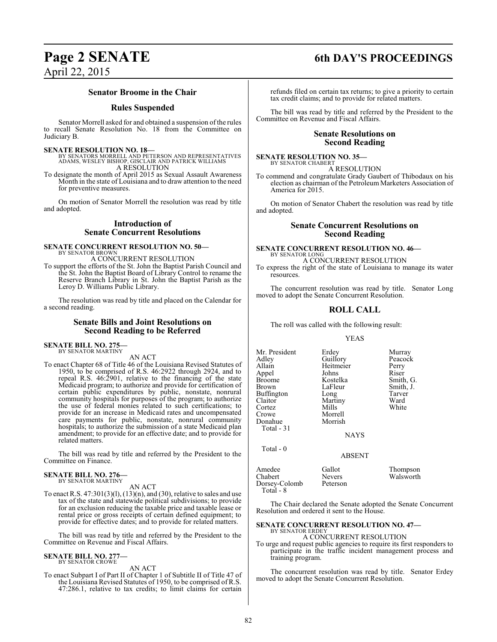### **Senator Broome in the Chair**

### **Rules Suspended**

Senator Morrell asked for and obtained a suspension of the rules to recall Senate Resolution No. 18 from the Committee on Judiciary B.

### **SENATE RESOLUTION NO. 18—**

- BY SENATORS MORRELL AND PETERSON AND REPRESENTATIVES ADAMS, WESLEY BISHOP, GISCLAIR AND PATRICK WILLIAMS A RESOLUTION
- To designate the month of April 2015 as Sexual Assault Awareness Month in the state of Louisiana and to draw attention to the need for preventive measures.

On motion of Senator Morrell the resolution was read by title and adopted.

### **Introduction of Senate Concurrent Resolutions**

### **SENATE CONCURRENT RESOLUTION NO. 50—** BY SENATOR BROWN

A CONCURRENT RESOLUTION

To support the efforts of the St. John the Baptist Parish Council and the St. John the Baptist Board of Library Control to rename the Reserve Branch Library in St. John the Baptist Parish as the Leroy D. Williams Public Library.

The resolution was read by title and placed on the Calendar for a second reading.

### **Senate Bills and Joint Resolutions on Second Reading to be Referred**

### **SENATE BILL NO. 275—** BY SENATOR MARTINY

AN ACT

To enact Chapter 68 of Title 46 of the Louisiana Revised Statutes of 1950, to be comprised of R.S. 46:2922 through 2924, and to repeal R.S. 46:2901, relative to the financing of the state Medicaid program; to authorize and provide for certification of certain public expenditures by public, nonstate, nonrural community hospitals for purposes of the program; to authorize the use of federal monies related to such certifications; to provide for an increase in Medicaid rates and uncompensated care payments for public, nonstate, nonrural community hospitals; to authorize the submission of a state Medicaid plan amendment; to provide for an effective date; and to provide for related matters.

The bill was read by title and referred by the President to the Committee on Finance.

### **SENATE BILL NO. 276—** BY SENATOR MARTINY

AN ACT

To enact R.S.  $47:301(3)(1)$ ,  $(13)(n)$ , and  $(30)$ , relative to sales and use tax of the state and statewide political subdivisions; to provide for an exclusion reducing the taxable price and taxable lease or rental price or gross receipts of certain defined equipment; to provide for effective dates; and to provide for related matters.

The bill was read by title and referred by the President to the Committee on Revenue and Fiscal Affairs.

#### **SENATE BILL NO. 277—** BY SENATOR CROWE

AN ACT

To enact Subpart I of Part II of Chapter 1 of Subtitle II of Title 47 of the Louisiana Revised Statutes of 1950, to be comprised of R.S. 47:286.1, relative to tax credits; to limit claims for certain

### **Page 2 SENATE 6th DAY'S PROCEEDINGS**

refunds filed on certain tax returns; to give a priority to certain tax credit claims; and to provide for related matters.

The bill was read by title and referred by the President to the Committee on Revenue and Fiscal Affairs.

### **Senate Resolutions on Second Reading**

**SENATE RESOLUTION NO. 35—** BY SENATOR CHABERT

A RESOLUTION

To commend and congratulate Grady Gaubert of Thibodaux on his election as chairman of the Petroleum Marketers Association of America for 2015.

On motion of Senator Chabert the resolution was read by title and adopted.

### **Senate Concurrent Resolutions on Second Reading**

### **SENATE CONCURRENT RESOLUTION NO. 46—** BY SENATOR LONG

A CONCURRENT RESOLUTION To express the right of the state of Louisiana to manage its water resources.

The concurrent resolution was read by title. Senator Long moved to adopt the Senate Concurrent Resolution.

### **ROLL CALL**

The roll was called with the following result:

### YEAS

Mr. President Erdey Murray<br>Adley Guillory Peacock Adley Guillory Peaco<br>Allain Heitmeier Perry Appel Johns<br>Broome Kostelka Broome Kostelka Smith, G.<br>Brown LaFleur Smith, J. Buffington Long Tarve<br>Claitor Martiny Ward Cortez Mills White Crowe Morrell<br>
Donahue Morrish Donahue Total - 31 Total - 0

Heitmeier Perry<br>
Iohns Riser Long Tarvei<br>
Martiny Ward<br>
Mills White

Smith, J.<br>Tarver

ABSENT

NAYS

| Amedee                     | Gallot        | Thompson  |
|----------------------------|---------------|-----------|
| Chabert                    | <b>Nevers</b> | Walsworth |
| Dorsey-Colomb<br>Total - 8 | Peterson      |           |

The Chair declared the Senate adopted the Senate Concurrent Resolution and ordered it sent to the House.

#### **SENATE CONCURRENT RESOLUTION NO. 47—** BY SENATOR ERDEY

### A CONCURRENT RESOLUTION

To urge and request public agencies to require its first responders to participate in the traffic incident management process and training program.

The concurrent resolution was read by title. Senator Erdey moved to adopt the Senate Concurrent Resolution.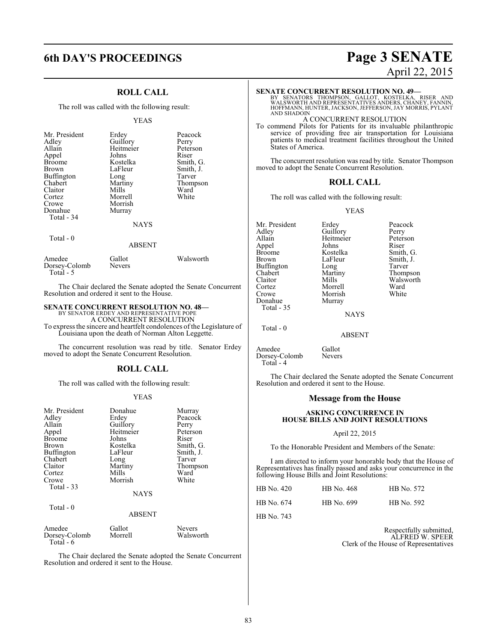# **6th DAY'S PROCEEDINGS Page 3 SENATE**

### **ROLL CALL**

The roll was called with the following result:

### YEAS

| Mr. President<br>Adley<br>Allain<br>Appel<br><b>Broome</b><br>Brown<br><b>Buffington</b><br>Chabert<br>Claitor<br>Cortez<br>Crowe<br>Donahue<br>Total - 34 | Erdey<br>Guillory<br>Heitmeier<br>Johns<br>Kostelka<br>LaFleur<br>Long<br>Martiny<br>Mills<br>Morrell<br>Morrish<br>Murray<br><b>NAYS</b> | Peacock<br>Perry<br>Peterson<br>Riser<br>Smith, G.<br>Smith, J.<br>Tarver<br>Thompson<br>Ward<br>White |
|------------------------------------------------------------------------------------------------------------------------------------------------------------|-------------------------------------------------------------------------------------------------------------------------------------------|--------------------------------------------------------------------------------------------------------|
| Total - 0                                                                                                                                                  | ABSENT                                                                                                                                    |                                                                                                        |

| Amedee<br>Dorsey-Colomb<br>Total - 5 | Gallot<br><b>Nevers</b> | Walsworth |
|--------------------------------------|-------------------------|-----------|

The Chair declared the Senate adopted the Senate Concurrent Resolution and ordered it sent to the House.

### **SENATE CONCURRENT RESOLUTION NO. 48—**

BY SENATOR ERDEY AND REPRESENTATIVE POPE A CONCURRENT RESOLUTION

To express the sincere and heartfelt condolences of the Legislature of Louisiana upon the death of Norman Alton Leggette.

The concurrent resolution was read by title. Senator Erdey moved to adopt the Senate Concurrent Resolution.

### **ROLL CALL**

The roll was called with the following result:

### YEAS

| Mr. President<br>Adley<br>Allain<br>Appel<br><b>Broome</b><br>Brown<br><b>Buffington</b><br>Chabert<br>Claitor<br>Cortez<br>Crowe<br>Total - 33<br>Total - 0 | Donahue<br>Erdey<br>Guillory<br>Heitmeier<br>Johns<br>Kostelka<br>LaFleur<br>Long<br>Martiny<br>Mills<br>Morrish<br><b>NAYS</b> | Murray<br>Peacock<br>Perry<br>Peterson<br>Riser<br>Smith, G.<br>Smith, J.<br>Tarver<br>Thompson<br>Ward<br>White |
|--------------------------------------------------------------------------------------------------------------------------------------------------------------|---------------------------------------------------------------------------------------------------------------------------------|------------------------------------------------------------------------------------------------------------------|
|                                                                                                                                                              | <b>ABSENT</b>                                                                                                                   |                                                                                                                  |
| Amedee<br>Dorsey-Colomb<br>Total - 6                                                                                                                         | Gallot<br>Morrell                                                                                                               | <b>Nevers</b><br>Walsworth                                                                                       |

The Chair declared the Senate adopted the Senate Concurrent Resolution and ordered it sent to the House.

# April 22, 2015

### **SENATE CONCURRENT RESOLUTION NO. 49—**

BY SENATORS THOMPSON, GALLOT, KOSTELKA, RISER AND<br>WALSWORTHAND REPRESENTATIVES ANDERS,CHANEY,FANNIN,<br>HOFFMANN,HUNTER,JACKSON,JEFFERSON,JAY MORRIS,PYLANT AND SHADOIN

### A CONCURRENT RESOLUTION

To commend Pilots for Patients for its invaluable philanthropic service of providing free air transportation for Louisiana patients to medical treatment facilities throughout the United States of America.

The concurrent resolution was read by title. Senator Thompson moved to adopt the Senate Concurrent Resolution.

### **ROLL CALL**

The roll was called with the following result:

### YEAS

Mr. President Erdey Peacock<br>Adley Guillory Perry Adley Guillory Perry<br>Allain Heitmeier Peterson Appel Johns<br>Broome Kostelka Buffington Long<br>Chabert Martiny Cortez Morrell Ward Donahue Total - 35

Total - 0

Morrish<br>Murray

Heitmeier Peters<br>Johns Riser Broome Kostelka Smith, G.<br>Brown LaFleur Smith, J. LaFleur Smith, J.<br>Long Tarver Chabert Martiny Thompson Claitor Mills Walsworth<br>
Cortez Morrell Ward

NAYS

ABSENT

Amedee Gallot<br>Dorsey-Colomb Nevers Dorsey-Colomb Total - 4

The Chair declared the Senate adopted the Senate Concurrent Resolution and ordered it sent to the House.

### **Message from the House**

### **ASKING CONCURRENCE IN HOUSE BILLS AND JOINT RESOLUTIONS**

### April 22, 2015

To the Honorable President and Members of the Senate:

I am directed to inform your honorable body that the House of Representatives has finally passed and asks your concurrence in the following House Bills and Joint Resolutions:

| HB No. 420 | HB No. 468 | HB No. 572 |
|------------|------------|------------|
| HB No. 674 | HB No. 699 | HB No. 592 |

HB No. 743

Respectfully submitted, ALFRED W. SPEER Clerk of the House of Representatives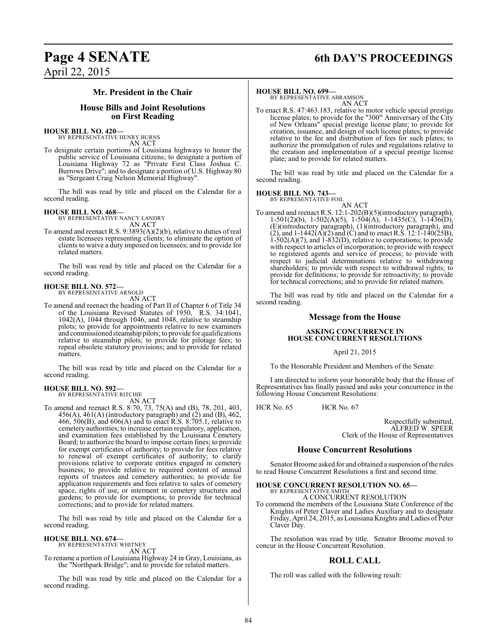# **Page 4 SENATE 6th DAY'S PROCEEDINGS**

### **Mr. President in the Chair**

### **House Bills and Joint Resolutions on First Reading**

#### **HOUSE BILL NO. 420—** BY REPRESENTATIVE HENRY BURNS

AN ACT

To designate certain portions of Louisiana highways to honor the public service of Louisiana citizens; to designate a portion of Louisiana Highway 72 as "Private First Class Joshua C. Burrows Drive"; and to designate a portion of U.S. Highway 80 as "Sergeant Craig Nelson Memorial Highway".

The bill was read by title and placed on the Calendar for a second reading.

### **HOUSE BILL NO. 468—**

BY REPRESENTATIVE NANCY LANDRY AN ACT

To amend and reenact R.S. 9:3893(A)(2)(b), relative to duties of real estate licensees representing clients; to eliminate the option of clients to waive a duty imposed on licensees; and to provide for related matters.

The bill was read by title and placed on the Calendar for a second reading.

### **HOUSE BILL NO. 572—** BY REPRESENTATIVE ARNOLD

AN ACT

To amend and reenact the heading of Part II of Chapter 6 of Title 34 of the Louisiana Revised Statutes of 1950, R.S. 34:1041, 1042(A), 1044 through 1046, and 1048, relative to steamship pilots; to provide for appointments relative to new examiners and commissioned steamship pilots; to provide for qualifications relative to steamship pilots; to provide for pilotage fees; to repeal obsolete statutory provisions; and to provide for related matters.

The bill was read by title and placed on the Calendar for a second reading.

### **HOUSE BILL NO. 592—** BY REPRESENTATIVE RITCHIE

AN ACT

To amend and reenact R.S. 8:70, 73, 75(A) and (B), 78, 201, 403,  $456(A)$ ,  $461(A)$  (introductory paragraph) and  $(2)$  and  $(B)$ ,  $462$ , 466, 506(B), and 606(A) and to enact R.S. 8:705.1, relative to cemetery authorities; to increase certain regulatory, application, and examination fees established by the Louisiana Cemetery Board; to authorize the board to impose certain fines; to provide for exempt certificates of authority; to provide for fees relative to renewal of exempt certificates of authority; to clarify provisions relative to corporate entities engaged in cemetery business; to provide relative to required content of annual reports of trustees and cemetery authorities; to provide for application requirements and fees relative to sales of cemetery space, rights of use, or interment in cemetery structures and gardens; to provide for exemptions; to provide for technical corrections; and to provide for related matters.

The bill was read by title and placed on the Calendar for a second reading.

### **HOUSE BILL NO. 674—**

BY REPRESENTATIVE WHITNEY

AN ACT To rename a portion of Louisiana Highway 24 in Gray, Louisiana, as the "Northpark Bridge"; and to provide for related matters.

The bill was read by title and placed on the Calendar for a second reading.

### **HOUSE BILL NO. 699—**

BY REPRESENTATIVE ABRAMSON AN ACT

To enact R.S. 47:463.183, relative to motor vehicle special prestige license plates; to provide for the "300<sup>th</sup> Anniversary of the City of New Orleans" special prestige license plate; to provide for creation, issuance, and design of such license plates; to provide relative to the fee and distribution of fees for such plates; to authorize the promulgation of rules and regulations relative to the creation and implementation of a special prestige license plate; and to provide for related matters.

The bill was read by title and placed on the Calendar for a second reading.

### **HOUSE BILL NO. 743—** BY REPRESENTATIVE FOIL

AN ACT To amend and reenact R.S. 12:1-202(B)(5)(introductory paragraph), 1-501(2)(b), 1-502(A)(5), 1-504(A), 1-1435(C), 1-1436(D), (E)(introductory paragraph), (1)(introductory paragraph), and (2), and  $1-1442(A)(2)$  and (C) and to enact R.S.  $12:1-140(25B)$ , 1-502(A)(7), and 1-832(D), relative to corporations; to provide with respect to articles of incorporation; to provide with respect to registered agents and service of process; to provide with respect to judicial determinations relative to withdrawing shareholders; to provide with respect to withdrawal rights; to provide for definitions; to provide for retroactivity; to provide for technical corrections; and to provide for related matters.

The bill was read by title and placed on the Calendar for a second reading.

### **Message from the House**

### **ASKING CONCURRENCE IN HOUSE CONCURRENT RESOLUTIONS**

April 21, 2015

To the Honorable President and Members of the Senate:

I am directed to inform your honorable body that the House of Representatives has finally passed and asks your concurrence in the following House Concurrent Resolutions:

 $HCR$  No. 65  $HCR$  No. 67

Respectfully submitted, ALFRED W. SPEER Clerk of the House of Representatives

### **House Concurrent Resolutions**

Senator Broome asked for and obtained a suspension ofthe rules to read House Concurrent Resolutions a first and second time.

### **HOUSE CONCURRENT RESOLUTION NO. 65—** BY REPRESENTATIVE SMITH

A CONCURRENT RESOLUTION

To commend the members of the Louisiana State Conference of the Knights of Peter Claver and Ladies Auxiliary and to designate Friday, April 24, 2015, as Louisiana Knights and Ladies of Peter Claver Day.

The resolution was read by title. Senator Broome moved to concur in the House Concurrent Resolution.

### **ROLL CALL**

The roll was called with the following result: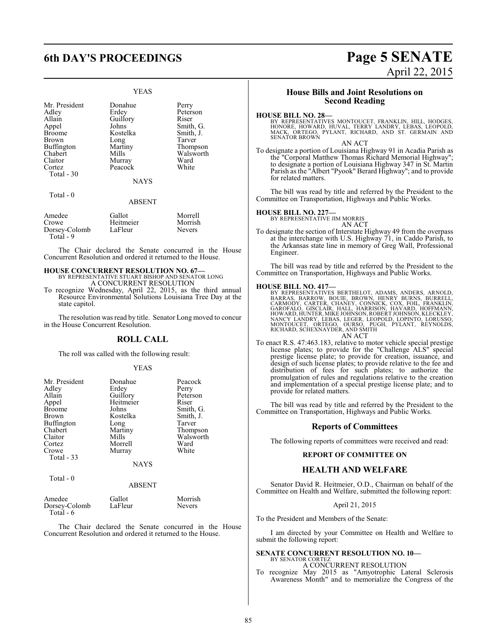### YEAS

Peterson<br>Riser

Smith, G. Smith, J.<br>Tarver

Thompson Walsworth<br>Ward

| Mr. President | Donahue       | Perry   |
|---------------|---------------|---------|
| Adley         | Erdey         | Peters  |
| Allain        | Guillory      | Riser   |
| Appel         | Johns         | Smith,  |
| <b>Broome</b> | Kostelka      | Smith,  |
| <b>Brown</b>  | Long          | Tarver  |
| Buffington    | Martiny       | Thomp   |
| Chabert       | Mills         | Walsw   |
| Claitor       | Murray        | Ward    |
| Cortez        | Peacock       | White   |
| Total - 30    |               |         |
|               | <b>NAYS</b>   |         |
| Total - 0     |               |         |
|               | <b>ABSENT</b> |         |
| $A = -1$      | $C = 11 - 4$  | $M = 1$ |

| Amedee        | Gallot    | Morrell       |
|---------------|-----------|---------------|
| Crowe         | Heitmeier | Morrish       |
| Dorsey-Colomb | LaFleur   | <b>Nevers</b> |
| Total - 9     |           |               |

The Chair declared the Senate concurred in the House Concurrent Resolution and ordered it returned to the House.

#### **HOUSE CONCURRENT RESOLUTION NO. 67—** BY REPRESENTATIVE STUART BISHOP AND SENATOR LONG A CONCURRENT RESOLUTION

To recognize Wednesday, April 22, 2015, as the third annual Resource Environmental Solutions Louisiana Tree Day at the state capitol.

The resolution was read by title. Senator Long moved to concur in the House Concurrent Resolution.

### **ROLL CALL**

The roll was called with the following result:

### YEAS

| Mr. President | Donahue     | Peacock   |
|---------------|-------------|-----------|
| Adley         | Erdey       | Perry     |
| Allain        | Guillory    | Peterson  |
| Appel         | Heitmeier   | Riser     |
| <b>Broome</b> | Johns       | Smith, G. |
| <b>Brown</b>  | Kostelka    | Smith, J. |
| Buffington    | Long        | Tarver    |
| Chabert       | Martiny     | Thompson  |
| Claitor       | Mills       | Walsworth |
| Cortez        | Morrell     | Ward      |
| Crowe         | Murray      | White     |
| Total - 33    |             |           |
|               | <b>NAYS</b> |           |
|               |             |           |

### Total - 0

### ABSENT

| Amedee<br>Dorsey-Colomb<br>Total - 6 | Gallot<br>LaFleur | Morrish<br><b>Nevers</b> |
|--------------------------------------|-------------------|--------------------------|
|--------------------------------------|-------------------|--------------------------|

The Chair declared the Senate concurred in the House Concurrent Resolution and ordered it returned to the House.

### **House Bills and Joint Resolutions on Second Reading**

### **HOUSE BILL NO. 28—**

BY REPRESENTATIVES MONTOUCET, FRANKLIN, HILL, HODGES,<br>HONORE, HOWARD, HUVAL, TERRY LANDRY, LEBAS, LEOPOLD,<br>MACK, ORTEGO, PYLANT, RICHARD, AND ST. GERMAIN AND<br>SENATOR BROWN

AN ACT

To designate a portion of Louisiana Highway 91 in Acadia Parish as the "Corporal Matthew Thomas Richard Memorial Highway"; to designate a portion of Louisiana Highway 347 in St. Martin Parish as the "Albert "Pyook" Berard Highway"; and to provide for related matters.

The bill was read by title and referred by the President to the Committee on Transportation, Highways and Public Works.

### **HOUSE BILL NO. 227—** BY REPRESENTATIVE JIM MORRIS

AN ACT

To designate the section of Interstate Highway 49 from the overpass at the interchange with U.S. Highway 71, in Caddo Parish, to the Arkansas state line in memory of Greg Wall, Professional Engineer.

The bill was read by title and referred by the President to the Committee on Transportation, Highways and Public Works.

**HOUSE BILL NO. 417—**<br>BY REPRESENTATIVES BERTHELOT, ADAMS, ANDERS, ARNOLD,<br>BARRAS, BARROW, BOUIE, BROWN, HENRY BURNS, BURRELL,<br>CARMODY, CARTER, CHANEY, CONNICK, COX, FOIL, FRANKLIN,<br>GAROPALO, GISCLAIR, HALL, HARRISON, HAVA

To enact R.S. 47:463.183, relative to motor vehicle special prestige license plates; to provide for the "Challenge ALS" special prestige license plate; to provide for creation, issuance, and design of such license plates; to provide relative to the fee and distribution of fees for such plates; to authorize the promulgation of rules and regulations relative to the creation and implementation of a special prestige license plate; and to provide for related matters.

The bill was read by title and referred by the President to the Committee on Transportation, Highways and Public Works.

### **Reports of Committees**

The following reports of committees were received and read:

### **REPORT OF COMMITTEE ON**

### **HEALTH AND WELFARE**

Senator David R. Heitmeier, O.D., Chairman on behalf of the Committee on Health and Welfare, submitted the following report:

### April 21, 2015

To the President and Members of the Senate:

I am directed by your Committee on Health and Welfare to submit the following report:

#### **SENATE CONCURRENT RESOLUTION NO. 10—** BY SENATOR CORTEZ

A CONCURRENT RESOLUTION

To recognize May 2015 as "Amyotrophic Lateral Sclerosis Awareness Month" and to memorialize the Congress of the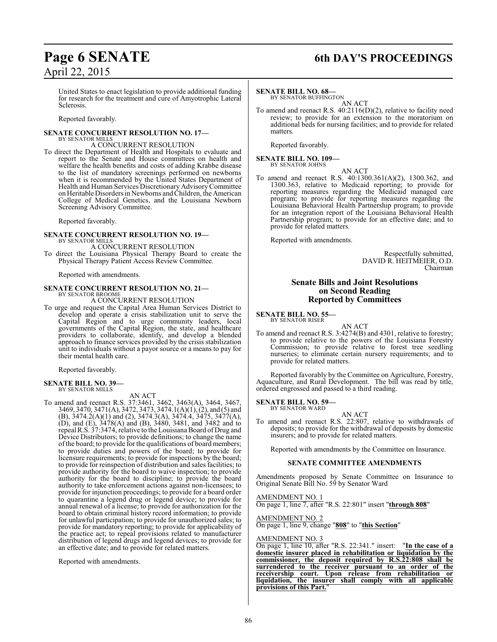# **Page 6 SENATE 6th DAY'S PROCEEDINGS**

United States to enact legislation to provide additional funding for research for the treatment and cure of Amyotrophic Lateral Sclerosis.

Reported favorably.

### **SENATE CONCURRENT RESOLUTION NO. 17—** BY SENATOR MILLS

A CONCURRENT RESOLUTION

To direct the Department of Health and Hospitals to evaluate and report to the Senate and House committees on health and welfare the health benefits and costs of adding Krabbe disease to the list of mandatory screenings performed on newborns when it is recommended by the United States Department of Health and Human Services Discretionary Advisory Committee on Heritable Disorders in Newborns and Children, the American College of Medical Genetics, and the Louisiana Newborn Screening Advisory Committee.

Reported favorably.

### **SENATE CONCURRENT RESOLUTION NO. 19—**

BY SENATOR MILLS A CONCURRENT RESOLUTION

To direct the Louisiana Physical Therapy Board to create the Physical Therapy Patient Access Review Committee.

Reported with amendments.

### **SENATE CONCURRENT RESOLUTION NO. 21—** BY SENATOR BROOME

A CONCURRENT RESOLUTION

To urge and request the Capital Area Human Services District to develop and operate a crisis stabilization unit to serve the Capital Region and to urge community leaders, local governments of the Capital Region, the state, and healthcare providers to collaborate, identify, and develop a blended approach to finance services provided by the crisis stabilization unit to individuals without a payor source or a means to pay for their mental health care.

Reported favorably.

#### **SENATE BILL NO. 39—** BY SENATOR MILLS

AN ACT

To amend and reenact R.S. 37:3461, 3462, 3463(A), 3464, 3467, 3469, 3470, 3471(A), 3472, 3473, 3474.1(A)(1), (2), and (5) and (B), 3474.2(A)(1) and (2), 3474.3(A), 3474.4, 3475, 3477(A), (D), and (E), 3478(A) and (B), 3480, 3481, and 3482 and to repeal R.S. 37:3474, relative to theLouisiana Board of Drug and Device Distributors; to provide definitions; to change the name ofthe board; to provide for the qualifications of board members; to provide duties and powers of the board; to provide for licensure requirements; to provide for inspections by the board; to provide for reinspection of distribution and sales facilities; to provide authority for the board to waive inspection; to provide authority for the board to discipline; to provide the board authority to take enforcement actions against non-licensees; to provide for injunction proceedings; to provide for a board order to quarantine a legend drug or legend device; to provide for annual renewal of a license; to provide for authorization for the board to obtain criminal history record information; to provide for unlawful participation; to provide for unauthorized sales; to provide for mandatory reporting; to provide for applicability of the practice act; to repeal provisions related to manufacturer distribution of legend drugs and legend devices; to provide for an effective date; and to provide for related matters.

Reported with amendments.

### **SENATE BILL NO. 68—**

BY SENATOR BUFFINGTON AN ACT

To amend and reenact R.S. 40:2116(D)(2), relative to facility need review; to provide for an extension to the moratorium on additional beds for nursing facilities; and to provide for related matters.

Reported favorably.

#### **SENATE BILL NO. 109—** BY SENATOR JOHNS

AN ACT

To amend and reenact R.S. 40:1300.361(A)(2), 1300.362, and 1300.363, relative to Medicaid reporting; to provide for reporting measures regarding the Medicaid managed care program; to provide for reporting measures regarding the Louisiana Behavioral Health Partnership program; to provide for an integration report of the Louisiana Behavioral Health Partnership program; to provide for an effective date; and to provide for related matters.

Reported with amendments.

Respectfully submitted, DAVID R. HEITMEIER, O.D. Chairman

### **Senate Bills and Joint Resolutions on Second Reading Reported by Committees**

**SENATE BILL NO. 55—** BY SENATOR RISER

AN ACT To amend and reenact R.S. 3:4274(B) and 4301, relative to forestry; to provide relative to the powers of the Louisiana Forestry Commission; to provide relative to forest tree seedling nurseries; to eliminate certain nursery requirements; and to provide for related matters.

Reported favorably by the Committee on Agriculture, Forestry, Aquaculture, and Rural Development. The bill was read by title, ordered engrossed and passed to a third reading.

**SENATE BILL NO. 59—** BY SENATOR WARD

AN ACT

To amend and reenact R.S. 22:807, relative to withdrawals of deposits; to provide for the withdrawal of deposits by domestic insurers; and to provide for related matters.

Reported with amendments by the Committee on Insurance.

### **SENATE COMMITTEE AMENDMENTS**

Amendments proposed by Senate Committee on Insurance to Original Senate Bill No. 59 by Senator Ward

AMENDMENT NO. 1

On page 1, line 7, after "R.S. 22:801" insert "**through 808**"

AMENDMENT NO. 2

On page 1, line 9, change "**808**" to "**this Section**"

### AMENDMENT NO. 3

On page 1, line 10, after "R.S. 22:341." insert: "**In the case of a domestic insurer placed in rehabilitation or liquidation by the commissioner, the deposit required by R.S.22:808 shall be surrendered to the receiver pursuant to an order of the receivership court. Upon release from rehabilitation or liquidation, the insurer shall comply with all applicable provisions of this Part.**"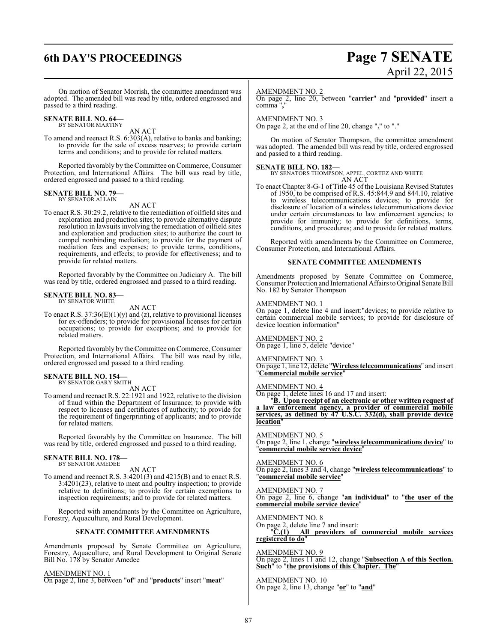## **6th DAY'S PROCEEDINGS Page 7 SENATE**

On motion of Senator Morrish, the committee amendment was adopted. The amended bill was read by title, ordered engrossed and passed to a third reading.

### **SENATE BILL NO. 64—** BY SENATOR MARTINY

AN ACT

To amend and reenact R.S. 6:303(A), relative to banks and banking; to provide for the sale of excess reserves; to provide certain terms and conditions; and to provide for related matters.

Reported favorably by the Committee on Commerce, Consumer Protection, and International Affairs. The bill was read by title, ordered engrossed and passed to a third reading.

## **SENATE BILL NO. 79—** BY SENATOR ALLAIN

AN ACT

To enact R.S. 30:29.2, relative to the remediation of oilfield sites and exploration and production sites; to provide alternative dispute resolution in lawsuits involving the remediation of oilfield sites and exploration and production sites; to authorize the court to compel nonbinding mediation; to provide for the payment of mediation fees and expenses; to provide terms, conditions, requirements, and effects; to provide for effectiveness; and to provide for related matters.

Reported favorably by the Committee on Judiciary A. The bill was read by title, ordered engrossed and passed to a third reading.

#### **SENATE BILL NO. 83—** BY SENATOR WHITE

AN ACT

To enact R.S.  $37:36(E)(1)(y)$  and (z), relative to provisional licenses for ex-offenders; to provide for provisional licenses for certain occupations; to provide for exceptions; and to provide for related matters.

Reported favorably by the Committee on Commerce, Consumer Protection, and International Affairs. The bill was read by title, ordered engrossed and passed to a third reading.

### **SENATE BILL NO. 154—**

BY SENATOR GARY SMITH AN ACT

To amend and reenact R.S. 22:1921 and 1922, relative to the division of fraud within the Department of Insurance; to provide with respect to licenses and certificates of authority; to provide for the requirement of fingerprinting of applicants; and to provide for related matters.

Reported favorably by the Committee on Insurance. The bill was read by title, ordered engrossed and passed to a third reading.

### **SENATE BILL NO. 178—** BY SENATOR AMEDEE

AN ACT

To amend and reenact R.S. 3:4201(3) and 4215(B) and to enact R.S. 3:4201(23), relative to meat and poultry inspection; to provide relative to definitions; to provide for certain exemptions to inspection requirements; and to provide for related matters.

Reported with amendments by the Committee on Agriculture, Forestry, Aquaculture, and Rural Development.

### **SENATE COMMITTEE AMENDMENTS**

Amendments proposed by Senate Committee on Agriculture, Forestry, Aquaculture, and Rural Development to Original Senate Bill No. 178 by Senator Amedee

AMENDMENT NO. 1

On page 2, line 3, between "**of**" and "**products**" insert "**meat**"

### AMENDMENT NO. 2

On page 2, line 20, between "**carrier**" and "**provided**" insert a comma "**,**"

### AMENDMENT NO. 3

On page 2, at the end of line 20, change "**.**" to "."

On motion of Senator Thompson, the committee amendment was adopted. The amended bill was read by title, ordered engrossed and passed to a third reading.

**SENATE BILL NO. 182—** BY SENATORS THOMPSON, APPEL, CORTEZ AND WHITE AN ACT

To enact Chapter 8-G-1 of Title 45 of the Louisiana Revised Statutes of 1950, to be comprised of R.S. 45:844.9 and 844.10, relative to wireless telecommunications devices; to provide for disclosure of location of a wireless telecommunications device under certain circumstances to law enforcement agencies; to provide for immunity; to provide for definitions, terms, conditions, and procedures; and to provide for related matters.

Reported with amendments by the Committee on Commerce, Consumer Protection, and International Affairs.

### **SENATE COMMITTEE AMENDMENTS**

Amendments proposed by Senate Committee on Commerce, Consumer Protection and International Affairs toOriginal Senate Bill No. 182 by Senator Thompson

### AMENDMENT NO. 1

On page 1, delete line 4 and insert: devices; to provide relative to certain commercial mobile services; to provide for disclosure of device location information"

### AMENDMENT NO. 2

On page 1, line 5, delete "device"

AMENDMENT NO. 3

On page 1, line 12, delete "**Wireless telecommunications**" and insert "**Commercial mobile service**"

### AMENDMENT NO. 4

On page 1, delete lines 16 and 17 and insert:

"**B. Upon receipt of an electronic or other written request of a law enforcement agency, a provider of commercial mobile services, as defined by 47 U.S.C. 332(d), shall provide device location**"

AMENDMENT NO. 5 On page 2, line 1, change "**wireless telecommunications device**" to "**commercial mobile service device**"

### AMENDMENT NO. 6

On page 2, lines 3 and 4, change "**wireless telecommunications**" to "**commercial mobile service**"

### AMENDMENT NO. 7

On page 2, line 6, change "**an individual**" to "**the user of the commercial mobile service device**"

AMENDMENT NO. 8

On page 2, delete line 7 and insert: "**C.(1) All providers of commercial mobile services registered to do**"

AMENDMENT NO. 9 On page 2, lines 11 and 12, change "**Subsection A of this Section. Such**" to "**the provisions of this Chapter. The**"

AMENDMENT NO. 10 On page 2, line 13, change "**or**" to "**and**"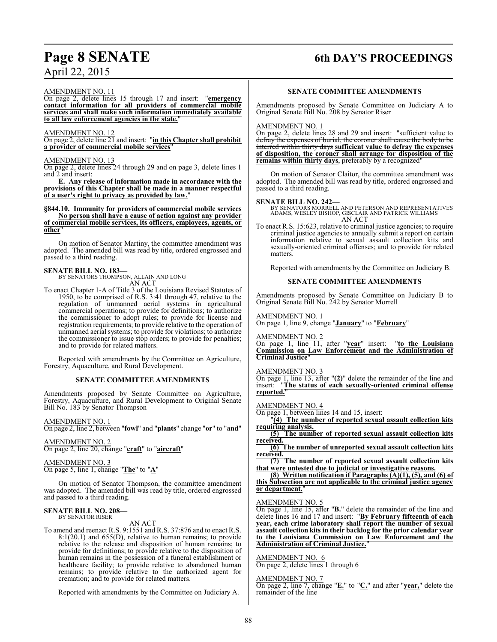## **Page 8 SENATE 6th DAY'S PROCEEDINGS**

AMENDMENT NO. 11

On page 2, delete lines 15 through 17 and insert: "**emergency contact information for all providers of commercial mobile services and shall make such information immediately available to all law enforcement agencies in the state.**"

### AMENDMENT NO. 12

On page 2, delete line 21 and insert: "**in this Chapter shall prohibit a provider of commercial mobile services**"

### AMENDMENT NO. 13

On page 2, delete lines 24 through 29 and on page 3, delete lines 1 and 2 and insert:

**E. Any release of information made in accordance with the provisions of this Chapter shall be made in a manner respectful of a user's right to privacy as provided by law.**"

**§844.10. Immunity for providers of commercial mobile services No person shall have a cause of action against any provider of commercial mobile services, its officers, employees, agents, or other**"

On motion of Senator Martiny, the committee amendment was adopted. The amended bill was read by title, ordered engrossed and passed to a third reading.

**SENATE BILL NO. 183—** BY SENATORS THOMPSON, ALLAIN AND LONG AN ACT

To enact Chapter 1-A of Title 3 of the Louisiana Revised Statutes of 1950, to be comprised of R.S. 3:41 through 47, relative to the regulation of unmanned aerial systems in agricultural commercial operations; to provide for definitions; to authorize the commissioner to adopt rules; to provide for license and registration requirements; to provide relative to the operation of unmanned aerial systems; to provide for violations; to authorize the commissioner to issue stop orders; to provide for penalties; and to provide for related matters.

Reported with amendments by the Committee on Agriculture, Forestry, Aquaculture, and Rural Development.

### **SENATE COMMITTEE AMENDMENTS**

Amendments proposed by Senate Committee on Agriculture, Forestry, Aquaculture, and Rural Development to Original Senate Bill No. 183 by Senator Thompson

AMENDMENT NO. 1 On page 2, line 2, between "**fowl**" and "**plants**" change "**or**" to "**and**"

AMENDMENT NO. 2 On page 2, line 20, change "**craft**" to "**aircraft**"

AMENDMENT NO. 3 On page 5, line 1, change "**The**" to "**A**"

On motion of Senator Thompson, the committee amendment was adopted. The amended bill was read by title, ordered engrossed and passed to a third reading.

### **SENATE BILL NO. 208—** BY SENATOR RISER

AN ACT

To amend and reenact R.S. 9:1551 and R.S. 37:876 and to enact R.S. 8:1(20.1) and 655(D), relative to human remains; to provide relative to the release and disposition of human remains; to provide for definitions; to provide relative to the disposition of human remains in the possession of a funeral establishment or healthcare facility; to provide relative to abandoned human remains; to provide relative to the authorized agent for cremation; and to provide for related matters.

Reported with amendments by the Committee on Judiciary A.

### **SENATE COMMITTEE AMENDMENTS**

Amendments proposed by Senate Committee on Judiciary A to Original Senate Bill No. 208 by Senator Riser

### AMENDMENT NO. 1

On page 2, delete lines 28 and 29 and insert: "sufficient value to defray the expenses of burial, the coroner shall cause the body to be interred within thirty days **sufficient value to defray the expenses of disposition, the coroner shall arrange for disposition of the remains within thirty days**, preferably by a recognized"

On motion of Senator Claitor, the committee amendment was adopted. The amended bill was read by title, ordered engrossed and passed to a third reading.

**SENATE BILL NO. 242—** BY SENATORS MORRELL AND PETERSON AND REPRESENTATIVES ADAMS, WESLEY BISHOP, GISCLAIR AND PATRICK WILLIAMS AN ACT

To enact R.S. 15:623, relative to criminal justice agencies; to require criminal justice agencies to annually submit a report on certain information relative to sexual assault collection kits and sexually-oriented criminal offenses; and to provide for related matters.

Reported with amendments by the Committee on Judiciary B.

### **SENATE COMMITTEE AMENDMENTS**

Amendments proposed by Senate Committee on Judiciary B to Original Senate Bill No. 242 by Senator Morrell

### AMENDMENT NO. 1

On page 1, line 9, change "**January**" to "**February**"

AMENDMENT NO. 2

On page 1, line 11, after "**year**" insert: "**to the Louisiana Commission on Law Enforcement and the Administration of Criminal Justice**"

### AMENDMENT NO. 3

On page 1, line 13, after "**(2)**" delete the remainder of the line and insert: "**The status of each sexually-oriented criminal offense reported.**"

AMENDMENT NO. 4

On page 1, between lines 14 and 15, insert:

"**(4) The number of reported sexual assault collection kits requiring analysis.** 

**(5) The number of reported sexual assault collection kits received.**

**(6) The number of unreported sexual assault collection kits received.**

**(7) The number of reported sexual assault collection kits that were untested due to judicial or investigative reasons.**

**(8) Written notification if Paragraphs (A)(1), (5), and (6) of this Subsection are not applicable to the criminal justice agency or department.**"

### AMENDMENT NO. 5

On page 1, line 15, after "**B.**" delete the remainder of the line and delete lines 16 and 17 and insert: "**By February fifteenth of each year, each crime laboratory shall report the number of sexual assault collection kits in their backlog for the prior calendar year to the Louisiana Commission on Law Enforcement and the Administration of Criminal Justice.**"

### AMENDMENT NO. 6

On page 2, delete lines 1 through 6

### AMENDMENT NO. 7

On page 2, line 7, change "**E.**" to "**C.**" and after "**year,**" delete the remainder of the line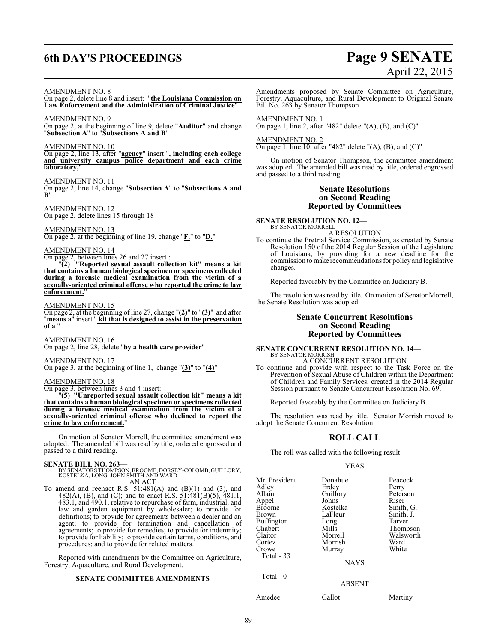# **6th DAY'S PROCEEDINGS Page 9 SENATE**

# April 22, 2015

AMENDMENT NO. 8 On page 2, delete line 8 and insert: "**the Louisiana Commission on Law Enforcement and the Administration of Criminal Justice**"

AMENDMENT NO. 9 On page 2, at the beginning of line 9, delete "**Auditor**" and change "**Subsection A**" to "**Subsections A and B**"

AMENDMENT NO. 10

On page 2, line 13, after "**agency**" insert "**, including each college and university campus police department and each crime** laboratory,

AMENDMENT NO. 11 On page 2, line 14, change "**Subsection A**" to "**Subsections A and B**"

AMENDMENT NO. 12 On page 2, delete lines 15 through 18

AMENDMENT NO. 13 On page 2, at the beginning of line 19, change "**F.**" to "**D.**"

AMENDMENT NO. 14

On page 2, between lines 26 and 27 insert :

"**(2) "Reported sexual assault collection kit" means a kit that contains a human biological specimen or specimens collected during a forensic medical examination from the victim of a sexually-oriented criminal offense who reported the crime to law enforcement.**"

AMENDMENT NO. 15

On page 2, at the beginning of line 27, change "**(2)**" to "**(3)**" and after "**means a**" insert " **kit that is designed to assist in the preservation of a** "

AMENDMENT NO. 16 On page 2, line 28, delete "**by a health care provider**"

AMENDMENT NO. 17 On page 3, at the beginning of line 1, change "**(3)**" to "**(4)**"

AMENDMENT NO. 18

On page 3, between lines 3 and 4 insert:

"**(5) "Unreported sexual assault collection kit" means a kit that contains a human biological specimen or specimens collected during a forensic medical examination from the victim of a sexually-oriented criminal offense who declined to report the crime to law enforcement.** 

On motion of Senator Morrell, the committee amendment was adopted. The amended bill was read by title, ordered engrossed and passed to a third reading.

### **SENATE BILL NO. 263—**

BY SENATORS THOMPSON, BROOME, DORSEY-COLOMB, GUILLORY,<br>KOSTELKA, LONG, JOHN SMITH AND WARD<br>AN ACT

To amend and reenact R.S.  $51:481(A)$  and  $(B)(1)$  and  $(3)$ , and 482(A), (B), and (C); and to enact R.S. 51:481(B)(5), 481.1, 483.1, and 490.1, relative to repurchase of farm, industrial, and

law and garden equipment by wholesaler; to provide for definitions; to provide for agreements between a dealer and an agent; to provide for termination and cancellation of agreements; to provide for remedies; to provide for indemnity; to provide for liability; to provide certain terms, conditions, and procedures; and to provide for related matters.

Reported with amendments by the Committee on Agriculture, Forestry, Aquaculture, and Rural Development.

### **SENATE COMMITTEE AMENDMENTS**

Amendments proposed by Senate Committee on Agriculture, Forestry, Aquaculture, and Rural Development to Original Senate Bill No. 263 by Senator Thompson

AMENDMENT NO. 1 On page 1, line 2, after "482" delete " $(A)$ ,  $(B)$ , and  $(C)$ "

AMENDMENT NO. 2  $\overline{\text{On page 1, line 10, after "482" delete " (A), (B), and (C) }}$ 

On motion of Senator Thompson, the committee amendment was adopted. The amended bill was read by title, ordered engrossed and passed to a third reading.

### **Senate Resolutions on Second Reading Reported by Committees**

**SENATE RESOLUTION NO. 12—** BY SENATOR MORRELL

A RESOLUTION

To continue the Pretrial Service Commission, as created by Senate Resolution 150 of the 2014 Regular Session of the Legislature of Louisiana, by providing for a new deadline for the commission tomake recommendations for policy and legislative changes.

Reported favorably by the Committee on Judiciary B.

The resolution was read by title. On motion of Senator Morrell, the Senate Resolution was adopted.

### **Senate Concurrent Resolutions on Second Reading Reported by Committees**

**SENATE CONCURRENT RESOLUTION NO. 14—** BY SENATOR MORRISH

A CONCURRENT RESOLUTION

To continue and provide with respect to the Task Force on the Prevention of Sexual Abuse of Children within the Department of Children and Family Services, created in the 2014 Regular Session pursuant to Senate Concurrent Resolution No. 69.

Reported favorably by the Committee on Judiciary B.

The resolution was read by title. Senator Morrish moved to adopt the Senate Concurrent Resolution.

### **ROLL CALL**

The roll was called with the following result:

### YEAS

| Mr. President<br>Adley<br>Allain<br>Appel<br><b>Broome</b><br>Brown<br>Buffington | Donahue<br>Erdey<br>Guillory<br>Johns<br>Kostelka<br>LaFleur<br>Long | Peacock<br>Perry<br>Peterson<br>Riser<br>Smith, G.<br>Smith, J.<br>Tarver |
|-----------------------------------------------------------------------------------|----------------------------------------------------------------------|---------------------------------------------------------------------------|
| Chabert                                                                           | Mills                                                                | Thompson                                                                  |
| Claitor                                                                           | Morrell                                                              | Walsworth                                                                 |
| Cortez                                                                            | Morrish                                                              | Ward                                                                      |
| Crowe                                                                             | Murray                                                               | White                                                                     |
| Total $-33$                                                                       |                                                                      |                                                                           |
|                                                                                   | <b>NAYS</b>                                                          |                                                                           |
| Total $-0$                                                                        | <b>ABSENT</b>                                                        |                                                                           |
|                                                                                   |                                                                      |                                                                           |
| Amedee                                                                            | Gallot                                                               | Martiny                                                                   |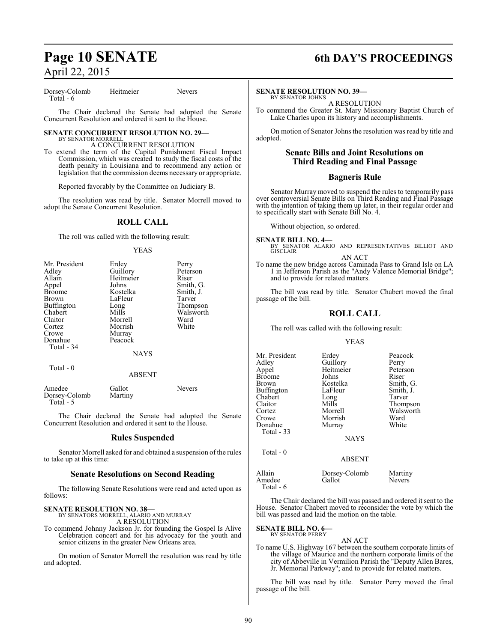Dorsey-Colomb Heitmeier Nevers Total - 6

The Chair declared the Senate had adopted the Senate Concurrent Resolution and ordered it sent to the House.

### **SENATE CONCURRENT RESOLUTION NO. 29—** BY SENATOR MORRELL

A CONCURRENT RESOLUTION

To extend the term of the Capital Punishment Fiscal Impact Commission, which was created to study the fiscal costs of the death penalty in Louisiana and to recommend any action or legislation that the commission deems necessary or appropriate.

Reported favorably by the Committee on Judiciary B.

The resolution was read by title. Senator Morrell moved to adopt the Senate Concurrent Resolution.

### **ROLL CALL**

The roll was called with the following result:

### YEAS

| Mr. President | Erdey       | Perry     |
|---------------|-------------|-----------|
| Adley         | Guillory    | Peterson  |
| Allain        | Heitmeier   | Riser     |
| Appel         | Johns       | Smith, G. |
| <b>Broome</b> | Kostelka    | Smith, J. |
| <b>Brown</b>  | LaFleur     | Tarver    |
| Buffington    | Long        | Thompson  |
| Chabert       | Mills       | Walsworth |
| Claitor       | Morrell     | Ward      |
| Cortez        | Morrish     | White     |
| Crowe         | Murray      |           |
| Donahue       | Peacock     |           |
| Total - 34    |             |           |
|               | <b>NAYS</b> |           |
|               |             |           |

### ABSENT

| Amedee        | Gallot  | <b>Nevers</b> |
|---------------|---------|---------------|
| Dorsey-Colomb | Martiny |               |
| Total - 5     |         |               |

Total - 0

The Chair declared the Senate had adopted the Senate Concurrent Resolution and ordered it sent to the House.

### **Rules Suspended**

Senator Morrell asked for and obtained a suspension of the rules to take up at this time:

### **Senate Resolutions on Second Reading**

The following Senate Resolutions were read and acted upon as follows:

**SENATE RESOLUTION NO. 38—**

BY SENATORS MORRELL, ALARIO AND MURRAY A RESOLUTION

To commend Johnny Jackson Jr. for founding the Gospel Is Alive Celebration concert and for his advocacy for the youth and senior citizens in the greater New Orleans area.

On motion of Senator Morrell the resolution was read by title and adopted.

# **Page 10 SENATE 6th DAY'S PROCEEDINGS**

### **SENATE RESOLUTION NO. 39—**

BY SENATOR JOHNS A RESOLUTION

To commend the Greater St. Mary Missionary Baptist Church of Lake Charles upon its history and accomplishments.

On motion of Senator Johns the resolution was read by title and adopted.

### **Senate Bills and Joint Resolutions on Third Reading and Final Passage**

### **Bagneris Rule**

Senator Murray moved to suspend the rules to temporarily pass over controversial Senate Bills on Third Reading and Final Passage with the intention of taking them up later, in their regular order and to specifically start with Senate Bill No. 4.

Without objection, so ordered.

**SENATE BILL NO. 4—**<br>BY SENATOR ALARIO AND REPRESENTATIVES BILLIOT AND GISCLAIR AN ACT

To name the new bridge across Caminada Pass to Grand Isle on LA 1 in Jefferson Parish as the "Andy Valence Memorial Bridge"; and to provide for related matters.

The bill was read by title. Senator Chabert moved the final passage of the bill.

### **ROLL CALL**

The roll was called with the following result:

### YEAS

| Mr. President          | Erdey                 | Peacock       |
|------------------------|-----------------------|---------------|
| Adley                  | Guillory              | Perry         |
| Appel                  | Heitmeier             | Peterson      |
| <b>Broome</b>          | Johns                 | Riser         |
| Brown                  | Kostelka              | Smith, G.     |
| <b>Buffington</b>      | LaFleur               | Smith, J.     |
| Chabert                | Long                  | Tarver        |
| Claitor                | Mills                 | Thompson      |
| Cortez                 | Morrell               | Walsworth     |
| Crowe                  | Morrish               | Ward          |
| Donahue<br>Total $-33$ | Murray<br><b>NAYS</b> | White         |
| Total $-0$             | <b>ABSENT</b>         |               |
| Allain                 | Dorsey-Colomb         | Martiny       |
| Amedee                 | Gallot                | <b>Nevers</b> |

The Chair declared the bill was passed and ordered it sent to the House. Senator Chabert moved to reconsider the vote by which the bill was passed and laid the motion on the table.

### **SENATE BILL NO. 6—**

Total - 6

BY SENATOR PERRY

AN ACT To name U.S. Highway 167 between the southern corporate limits of the village of Maurice and the northern corporate limits of the city of Abbeville in Vermilion Parish the "Deputy Allen Bares, Jr. Memorial Parkway"; and to provide for related matters.

The bill was read by title. Senator Perry moved the final passage of the bill.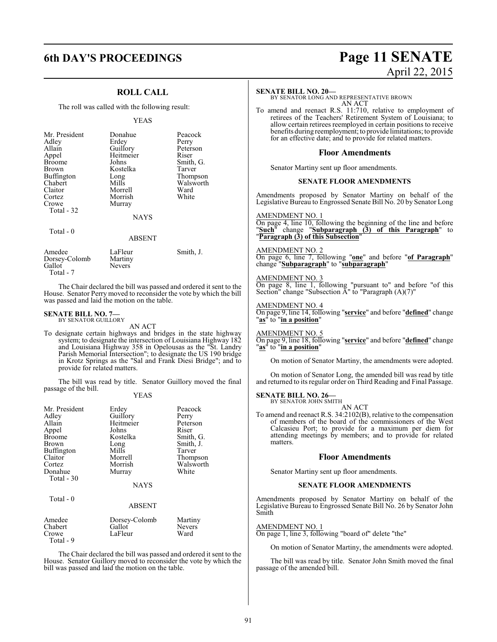### **ROLL CALL**

The roll was called with the following result:

### YEAS

| Mr. President<br>Adley<br>Allain<br>Appel<br><b>Broome</b><br><b>Brown</b><br>Buffington<br>Chabert<br>Claitor<br>Cortez<br>Crowe<br>Total - 32 | Donahue<br>Erdev<br>Guillory<br>Heitmeier<br>Johns<br>Kostelka<br>Long<br>Mills<br>Morrell<br>Morrish<br>Murray<br><b>NAYS</b> | Peacock<br>Perry<br>Peterson<br>Riser<br>Smith, G.<br>Tarver<br>Thompson<br>Walsworth<br>Ward<br>White |
|-------------------------------------------------------------------------------------------------------------------------------------------------|--------------------------------------------------------------------------------------------------------------------------------|--------------------------------------------------------------------------------------------------------|
| Total $-0$                                                                                                                                      | <b>ABSENT</b>                                                                                                                  |                                                                                                        |
| $\sim$ $\sim$                                                                                                                                   | - -                                                                                                                            | $\cdots$<br>$\sim$                                                                                     |

| Amedee        | LaFleur       | Smith, J. |
|---------------|---------------|-----------|
| Dorsey-Colomb | Martiny       |           |
| Gallot        | <b>Nevers</b> |           |
| Total - 7     |               |           |

The Chair declared the bill was passed and ordered it sent to the House. Senator Perry moved to reconsider the vote by which the bill was passed and laid the motion on the table.

### **SENATE BILL NO. 7—** BY SENATOR GUILLORY

AN ACT

To designate certain highways and bridges in the state highway system; to designate the intersection of Louisiana Highway 182 and Louisiana Highway 358 in Opelousas as the "St. Landry Parish Memorial Intersection"; to designate the US 190 bridge in Krotz Springs as the "Sal and Frank Diesi Bridge"; and to provide for related matters.

The bill was read by title. Senator Guillory moved the final passage of the bill.

YEAS

| Mr. President<br>Adley<br>Allain<br>Appel<br><b>Broome</b><br>Brown<br><b>Buffington</b><br>Claitor<br>Cortez<br>Donahue<br>Total - 30<br>Total - 0 | Erdey<br>Guillory<br>Heitmeier<br>Johns<br>Kostelka<br>Long<br>Mills<br>Morrell<br>Morrish<br>Murray<br><b>NAYS</b> | Peacock<br>Perry<br>Peterson<br>Riser<br>Smith, G.<br>Smith, J.<br>Tarver<br>Thompson<br>Walsworth<br>White |
|-----------------------------------------------------------------------------------------------------------------------------------------------------|---------------------------------------------------------------------------------------------------------------------|-------------------------------------------------------------------------------------------------------------|
|                                                                                                                                                     | <b>ABSENT</b>                                                                                                       |                                                                                                             |
| Amedee<br>Chabert<br>Crowe<br>Total - 9                                                                                                             | Dorsey-Colomb<br>Gallot<br>LaFleur                                                                                  | Martiny<br><b>Nevers</b><br>Ward                                                                            |

The Chair declared the bill was passed and ordered it sent to the House. Senator Guillory moved to reconsider the vote by which the bill was passed and laid the motion on the table.

# **6th DAY'S PROCEEDINGS Page 11 SENATE** April 22, 2015

### **SENATE BILL NO. 20—**

BY SENATOR LONG AND REPRESENTATIVE BROWN AN ACT

To amend and reenact R.S. 11:710, relative to employment of retirees of the Teachers' Retirement System of Louisiana; to allow certain retirees reemployed in certain positions to receive benefits during reemployment; to provide limitations; to provide for an effective date; and to provide for related matters.

### **Floor Amendments**

Senator Martiny sent up floor amendments.

### **SENATE FLOOR AMENDMENTS**

Amendments proposed by Senator Martiny on behalf of the Legislative Bureau to Engrossed Senate Bill No. 20 by Senator Long

### AMENDMENT NO. 1

On page 4, line 10, following the beginning of the line and before "**Such**" change "**Subparagraph (3) of this Paragraph**" to "**Paragraph (3) of this Subsection**"

AMENDMENT NO. 2 On page 6, line 7, following "**one**" and before "**of Paragraph**" change "**Subparagraph**" to "**subparagraph**"

AMENDMENT NO. 3 On page 8, line 1, following "pursuant to" and before "of this Section" change "Subsection A" to "Paragraph (A)(7)"

AMENDMENT NO. 4 On page 9, line 14, following "**service**" and before "**defined**" change "**as**" to "**in a position**"

AMENDMENT NO. 5

On page 9, line 18, following "**service**" and before "**defined**" change "**as**" to "**in a position**"

On motion of Senator Martiny, the amendments were adopted.

On motion of Senator Long, the amended bill was read by title and returned to its regular order on Third Reading and Final Passage.

### **SENATE BILL NO. 26—**

BY SENATOR JOHN SMITH AN ACT

To amend and reenact R.S. 34:2102(B), relative to the compensation of members of the board of the commissioners of the West Calcasieu Port; to provide for a maximum per diem for attending meetings by members; and to provide for related matters.

### **Floor Amendments**

Senator Martiny sent up floor amendments.

### **SENATE FLOOR AMENDMENTS**

Amendments proposed by Senator Martiny on behalf of the Legislative Bureau to Engrossed Senate Bill No. 26 by Senator John Smith

### AMENDMENT NO. 1

On page 1, line 3, following "board of" delete "the"

On motion of Senator Martiny, the amendments were adopted.

The bill was read by title. Senator John Smith moved the final passage of the amended bill.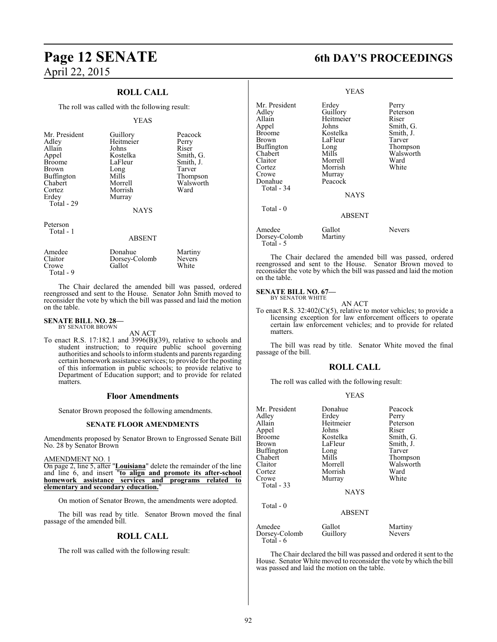# **Page 12 SENATE 6th DAY'S PROCEEDINGS** April 22, 2015

### **ROLL CALL**

The roll was called with the following result:

### YEAS

| Mr. President                            | Guillory                                    | Peaco        |
|------------------------------------------|---------------------------------------------|--------------|
| Adley                                    | Heitmeier                                   | Perry        |
| Allain                                   | Johns                                       | Riser        |
| Appel                                    | Kostelka                                    | Smitl        |
| <b>Broome</b>                            | LaFleur                                     | Smitl        |
| Chabert<br>Cortez<br>Erdey<br>Total - 29 | Morrell<br>Morrish<br>Murray<br><b>NAYS</b> | Wals<br>Ward |

Heitmeier<br>Johns Kostelka Smith, G.<br>LaFleur Smith, J. LaFleur Smith, J.<br>Long Tarver Long Tarver<br>Mills Thomp Buffington Mills Thompson Morrish

Walsworth<br>Ward

Guillory Peacock<br>
Heitmeier Perry

### Peterson Total - 1

### ABSENT

| Amedee<br>Claitor<br>Crowe<br>Total - 9 | Donahue<br>Dorsey-Colomb<br>Gallot | Martiny<br><b>Nevers</b><br>White |
|-----------------------------------------|------------------------------------|-----------------------------------|
|                                         |                                    |                                   |

The Chair declared the amended bill was passed, ordered reengrossed and sent to the House. Senator John Smith moved to reconsider the vote by which the bill was passed and laid the motion on the table.

#### **SENATE BILL NO. 28—** BY SENATOR BROWN

AN ACT

To enact R.S. 17:182.1 and 3996(B)(39), relative to schools and student instruction; to require public school governing authorities and schools to inform students and parents regarding certain homework assistance services; to provide for the posting of this information in public schools; to provide relative to Department of Education support; and to provide for related matters.

### **Floor Amendments**

Senator Brown proposed the following amendments.

### **SENATE FLOOR AMENDMENTS**

Amendments proposed by Senator Brown to Engrossed Senate Bill No. 28 by Senator Brown

### AMENDMENT NO. 1

On page 2, line 5, after "**Louisiana**" delete the remainder of the line and line 6, and insert "**to align and promote its after-school homework assistance services and programs related to elementary and secondary education.**"

On motion of Senator Brown, the amendments were adopted.

The bill was read by title. Senator Brown moved the final passage of the amended bill.

### **ROLL CALL**

The roll was called with the following result:

|                                                                                                                                              | <b>YEAS</b>                                                                                                                               |                                                                                                          |
|----------------------------------------------------------------------------------------------------------------------------------------------|-------------------------------------------------------------------------------------------------------------------------------------------|----------------------------------------------------------------------------------------------------------|
| Mr. President<br>Adley<br>Allain<br>Appel<br>Broome<br>Brown<br>Buffington<br>Chabert<br>Claitor<br>Cortez<br>Crowe<br>Donahue<br>Total - 34 | Erdey<br>Guillory<br>Heitmeier<br>Johns<br>Kostelka<br>LaFleur<br>Long<br>Mills<br>Morrell<br>Morrish<br>Murray<br>Peacock<br><b>NAYS</b> | Perry<br>Peterson<br>Riser<br>Smith, G.<br>Smith, J.<br>Tarver<br>Thompson<br>Walsworth<br>Ward<br>White |
| Total - 0                                                                                                                                    | <b>ABSENT</b>                                                                                                                             |                                                                                                          |
| Amedee<br>Dorsey-Colomb<br>Total - 5                                                                                                         | Gallot<br>Martiny                                                                                                                         | Nevers                                                                                                   |

The Chair declared the amended bill was passed, ordered reengrossed and sent to the House. Senator Brown moved to reconsider the vote by which the bill was passed and laid the motion on the table.

# **SENATE BILL NO. 67—**<br>BY SENATOR WHITE

AN ACT

To enact R.S. 32:402(C)(5), relative to motor vehicles; to provide a licensing exception for law enforcement officers to operate certain law enforcement vehicles; and to provide for related matters.

The bill was read by title. Senator White moved the final passage of the bill.

### **ROLL CALL**

The roll was called with the following result:

### YEAS

| Mr. President<br>Adley<br>Allain<br>Appel<br>Broome<br>Brown<br>Buffington<br>Chabert<br>Claitor<br>Cortez<br>Crowe<br>Total $-33$<br>Total - 0 | Donahue<br>Erdey<br>Heitmeier<br>Johns<br>Kostelka<br>LaFleur<br>Long<br>Mills<br>Morrell<br>Morrish<br>Murray<br><b>NAYS</b> | Peacock<br>Perry<br>Peterson<br>Riser<br>Smith, G.<br>Smith, J.<br>Tarver<br>Thompson<br>Walsworth<br>Ward<br>White |
|-------------------------------------------------------------------------------------------------------------------------------------------------|-------------------------------------------------------------------------------------------------------------------------------|---------------------------------------------------------------------------------------------------------------------|
|                                                                                                                                                 | <b>ABSENT</b>                                                                                                                 |                                                                                                                     |
| Amedee<br>Dorsey-Colomb<br>Total - 6                                                                                                            | Gallot<br>Guillory                                                                                                            | Martiny<br><b>Nevers</b>                                                                                            |

The Chair declared the bill was passed and ordered it sent to the House. Senator White moved to reconsider the vote by which the bill was passed and laid the motion on the table.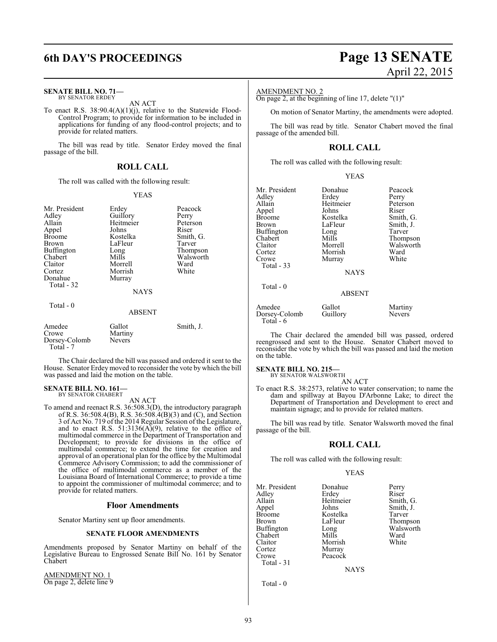### **SENATE BILL NO. 71—** BY SENATOR ERDEY

AN ACT

To enact R.S. 38:90.4(A)(1)(j), relative to the Statewide Flood-Control Program; to provide for information to be included in applications for funding of any flood-control projects; and to provide for related matters.

The bill was read by title. Senator Erdey moved the final passage of the bill.

### **ROLL CALL**

The roll was called with the following result:

### YEAS

| Mr. President<br>Adley<br>Allain<br>Appel<br><b>Broome</b><br>Brown<br>Buffington<br>Chabert<br>Claitor<br>Cortez<br>Donahue<br>Total - 32 | Erdey<br>Guillory<br>Heitmeier<br>Johns<br>Kostelka<br>LaFleur<br>Long<br>Mills<br>Morrell<br>Morrish<br>Murray<br><b>NAYS</b> | Peacock<br>Perry<br>Peterson<br>Riser<br>Smith, G.<br>Tarver<br>Thompson<br>Walsworth<br>Ward<br>White |
|--------------------------------------------------------------------------------------------------------------------------------------------|--------------------------------------------------------------------------------------------------------------------------------|--------------------------------------------------------------------------------------------------------|
| Total - 0                                                                                                                                  | ABSENT                                                                                                                         |                                                                                                        |
| Amedee<br>Crowe<br>Dorsey-Colomb<br>Total - 7                                                                                              | Gallot<br>Martiny<br>Nevers                                                                                                    | Smith, J.                                                                                              |

The Chair declared the bill was passed and ordered it sent to the House. Senator Erdey moved to reconsider the vote by which the bill was passed and laid the motion on the table.

### **SENATE BILL NO. 161—** BY SENATOR CHABERT

AN ACT

To amend and reenact R.S. 36:508.3(D), the introductory paragraph of R.S. 36:508.4(B), R.S. 36:508.4(B)(3) and (C), and Section 3 of Act No. 719 of the 2014 Regular Session of the Legislature, and to enact R.S. 51:3136( $A$ )(9), relative to the office of multimodal commerce in the Department of Transportation and Development; to provide for divisions in the office of multimodal commerce; to extend the time for creation and approval of an operational plan for the office by the Multimodal Commerce Advisory Commission; to add the commissioner of the office of multimodal commerce as a member of the Louisiana Board of International Commerce; to provide a time to appoint the commissioner of multimodal commerce; and to provide for related matters.

### **Floor Amendments**

Senator Martiny sent up floor amendments.

### **SENATE FLOOR AMENDMENTS**

Amendments proposed by Senator Martiny on behalf of the Legislative Bureau to Engrossed Senate Bill No. 161 by Senator Chabert

AMENDMENT NO. 1 On page 2, delete line 9

# **6th DAY'S PROCEEDINGS Page 13 SENATE** April 22, 2015

### AMENDMENT NO. 2

On page 2, at the beginning of line 17, delete "(1)"

On motion of Senator Martiny, the amendments were adopted.

The bill was read by title. Senator Chabert moved the final passage of the amended bill.

### **ROLL CALL**

The roll was called with the following result:

| v<br>I |
|--------|
|--------|

| Mr. President<br>Adley<br>Allain<br>Appel<br>Broome<br>Brown<br>Buffington<br>Chabert<br>Claitor<br>Cortez<br>Crowe<br>Total $-33$<br>Total $-0$ | Donahue<br>Erdey<br>Heitmeier<br>Johns<br>Kostelka<br>LaFleur<br>Long<br>Mills<br>Morrell<br>Morrish<br>Murray<br><b>NAYS</b> | Peacock<br>Perry<br>Peterson<br>Riser<br>Smith, G.<br>Smith, J.<br>Tarver<br>Thompson<br>Walsworth<br>Ward<br>White |
|--------------------------------------------------------------------------------------------------------------------------------------------------|-------------------------------------------------------------------------------------------------------------------------------|---------------------------------------------------------------------------------------------------------------------|
|                                                                                                                                                  | <b>ABSENT</b>                                                                                                                 |                                                                                                                     |
| Amedee<br>Dorsey-Colomb<br>Total - 6                                                                                                             | Gallot<br>Guillory                                                                                                            | Martiny<br><b>Nevers</b>                                                                                            |

The Chair declared the amended bill was passed, ordered reengrossed and sent to the House. Senator Chabert moved to reconsider the vote by which the bill was passed and laid the motion on the table.

### **SENATE BILL NO. 215—**

BY SENATOR WALSWORTH AN ACT

To enact R.S. 38:2573, relative to water conservation; to name the dam and spillway at Bayou D'Arbonne Lake; to direct the Department of Transportation and Development to erect and maintain signage; and to provide for related matters.

The bill was read by title. Senator Walsworth moved the final passage of the bill.

### **ROLL CALL**

The roll was called with the following result:

### YEAS

| Mr. President | Donahue   | Perry     |
|---------------|-----------|-----------|
| Adley         | Erdey     | Riser     |
| Allain        | Heitmeier | Smith, G. |
| Appel         | Johns     | Smith, J. |
| <b>Broome</b> | Kostelka  | Tarver    |
| <b>Brown</b>  | LaFleur   | Thompson  |
| Buffington    | Long      | Walsworth |
| Chabert       | Mills     | Ward      |
| Claitor       | Morrish   | White     |
| Cortez        | Murray    |           |
| Crowe         | Peacock   |           |
| Total - 31    |           |           |

**NAYS** 

Total - 0